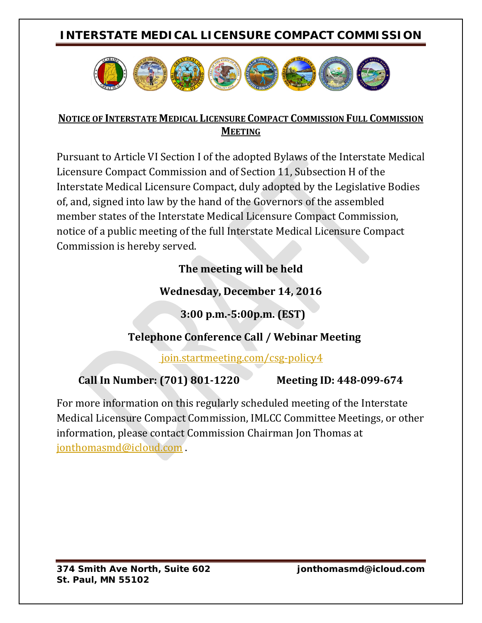## **INTERSTATE MEDICAL LICENSURE COMPACT COMMISSION**



#### **NOTICE OF INTERSTATE MEDICAL LICENSURE COMPACT COMMISSION FULL COMMISSION MEETING**

Pursuant to Article VI Section I of the adopted Bylaws of the Interstate Medical Licensure Compact Commission and of Section 11, Subsection H of the Interstate Medical Licensure Compact, duly adopted by the Legislative Bodies of, and, signed into law by the hand of the Governors of the assembled member states of the Interstate Medical Licensure Compact Commission, notice of a public meeting of the full Interstate Medical Licensure Compact Commission is hereby served.

## **The meeting will be held**

## **Wednesday, December 14, 2016**

 **3:00 p.m.-5:00p.m. (EST)**

## **Telephone Conference Call / Webinar Meeting**

join.startmeeting.com/csg-policy4

# **Call In Number: (701) 801-1220 Meeting ID: 448-099-674**

For more information on this regularly scheduled meeting of the Interstate Medical Licensure Compact Commission, IMLCC Committee Meetings, or other information, please contact Commission Chairman Jon Thomas at [jonthomasmd@icloud.com](mailto:jonthomasmd@icloud.com) .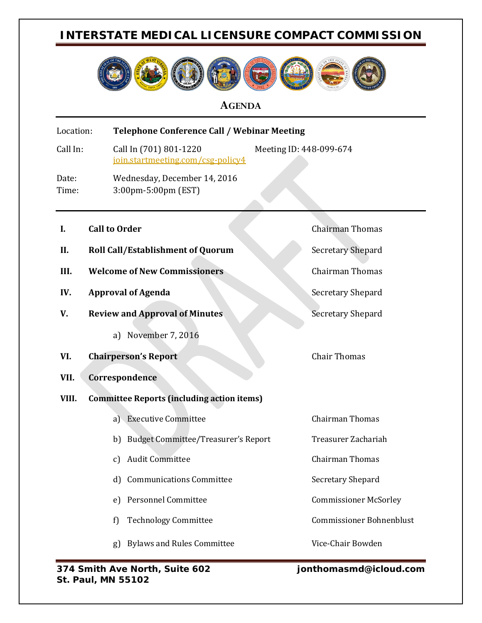### **INTERSTATE MEDICAL LICENSURE COMPACT COMMISSION**



#### **AGENDA**

| Location:      |  | <b>Telephone Conference Call / Webinar Meeting</b>                                     |                                 |
|----------------|--|----------------------------------------------------------------------------------------|---------------------------------|
| Call In:       |  | Call In (701) 801-1220<br>Meeting ID: 448-099-674<br>join.startmeeting.com/csg-policy4 |                                 |
| Date:<br>Time: |  | Wednesday, December 14, 2016<br>3:00pm-5:00pm (EST)                                    |                                 |
| I.             |  | <b>Call to Order</b>                                                                   | <b>Chairman Thomas</b>          |
| II.            |  | <b>Roll Call/Establishment of Quorum</b>                                               | <b>Secretary Shepard</b>        |
| III.           |  | <b>Welcome of New Commissioners</b>                                                    | <b>Chairman Thomas</b>          |
| IV.            |  | <b>Approval of Agenda</b>                                                              | Secretary Shepard               |
| V.             |  | <b>Review and Approval of Minutes</b>                                                  | <b>Secretary Shepard</b>        |
|                |  | November 7, 2016<br>a)                                                                 |                                 |
| VI.            |  | <b>Chairperson's Report</b>                                                            | <b>Chair Thomas</b>             |
| VII.           |  | Correspondence                                                                         |                                 |
| VIII.          |  | <b>Committee Reports (including action items)</b>                                      |                                 |
|                |  | <b>Executive Committee</b><br>a)                                                       | Chairman Thomas                 |
|                |  | <b>Budget Committee/Treasurer's Report</b><br>b)                                       | Treasurer Zachariah             |
|                |  | <b>Audit Committee</b><br>c)                                                           | <b>Chairman Thomas</b>          |
|                |  | <b>Communications Committee</b><br>d)                                                  | Secretary Shepard               |
|                |  | <b>Personnel Committee</b><br>e)                                                       | <b>Commissioner McSorley</b>    |
|                |  | <b>Technology Committee</b><br>f)                                                      | <b>Commissioner Bohnenblust</b> |
|                |  | <b>Bylaws and Rules Committee</b><br>g)                                                | Vice-Chair Bowden               |